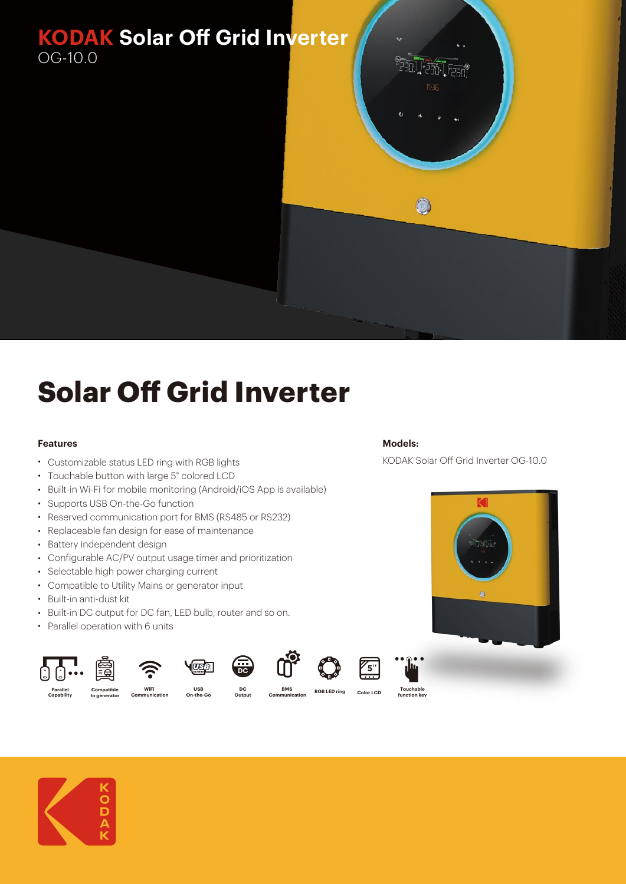

## **Solar Off Grid Inverter**

## **Features**

- Customizable status LED ring with RGB lights
- Touchable button with large 5" colored LCD
- Built-in Wi-Fi for mobile monitoring (Android/iOS App is available)
- Supports USB On-the-Go function
- Reserved communication port for BMS (RS485 or RS232)
- Replaceable fan design for ease of maintenance
- Battery independent design
- Configurable AC/PV output usage timer and prioritization
- Selectable high power charging current
- Compatible to Utility Mains or generator input
- Built-in anti-dust kit
- Built-in DC output for DC fan, LED bulb, router and so on.
- Parallel operation with 6 units

**Compatible to generator**

















KODAK Solar Off Grid Inverter OG-10.0